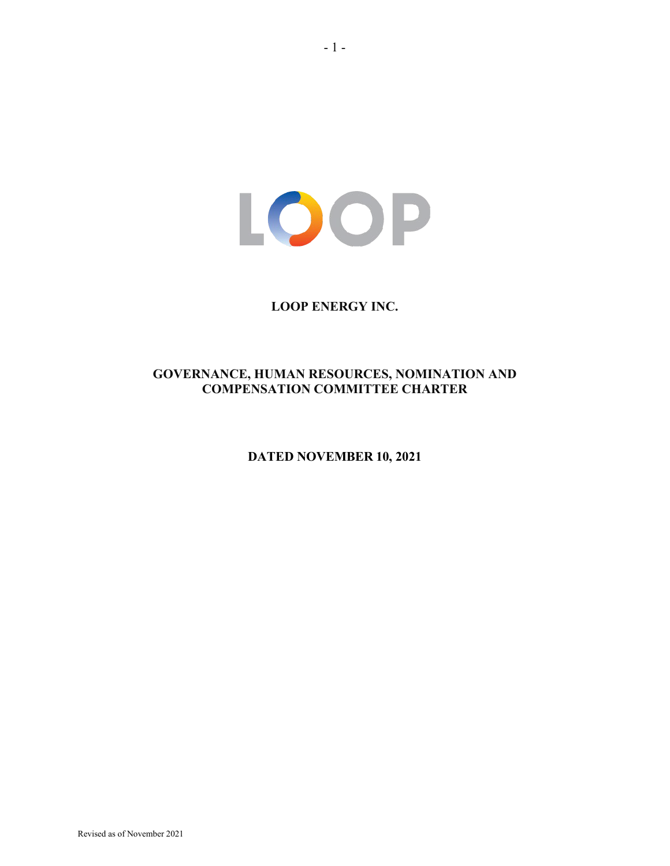LOOP

# **LOOP ENERGY INC.**

# **GOVERNANCE, HUMAN RESOURCES, NOMINATION AND COMPENSATION COMMITTEE CHARTER**

**DATED NOVEMBER 10, 2021**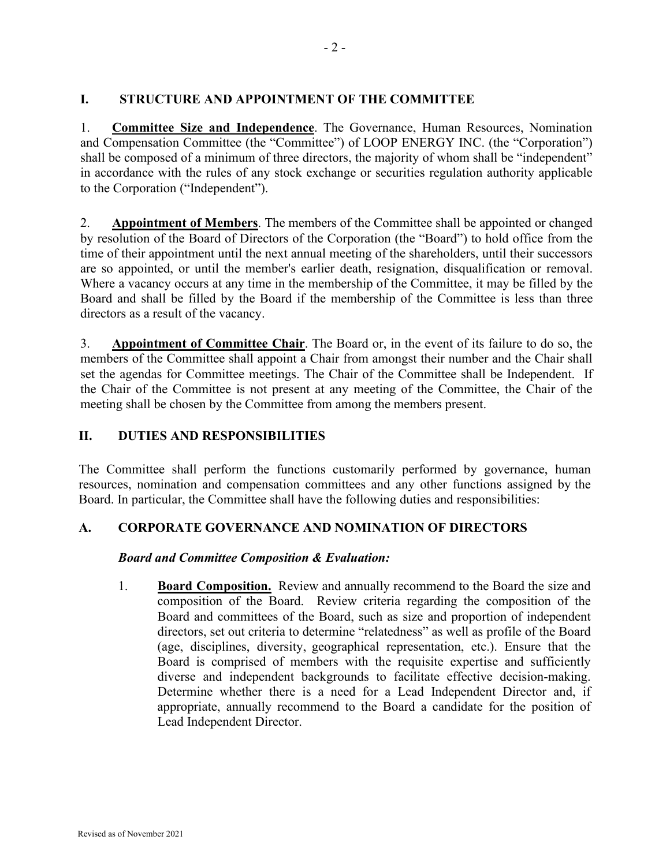# **I. STRUCTURE AND APPOINTMENT OF THE COMMITTEE**

1. **Committee Size and Independence**. The Governance, Human Resources, Nomination and Compensation Committee (the "Committee") of LOOP ENERGY INC. (the "Corporation") shall be composed of a minimum of three directors, the majority of whom shall be "independent" in accordance with the rules of any stock exchange or securities regulation authority applicable to the Corporation ("Independent").

2. **Appointment of Members**. The members of the Committee shall be appointed or changed by resolution of the Board of Directors of the Corporation (the "Board") to hold office from the time of their appointment until the next annual meeting of the shareholders, until their successors are so appointed, or until the member's earlier death, resignation, disqualification or removal. Where a vacancy occurs at any time in the membership of the Committee, it may be filled by the Board and shall be filled by the Board if the membership of the Committee is less than three directors as a result of the vacancy.

3. **Appointment of Committee Chair**. The Board or, in the event of its failure to do so, the members of the Committee shall appoint a Chair from amongst their number and the Chair shall set the agendas for Committee meetings. The Chair of the Committee shall be Independent. If the Chair of the Committee is not present at any meeting of the Committee, the Chair of the meeting shall be chosen by the Committee from among the members present.

# **II. DUTIES AND RESPONSIBILITIES**

The Committee shall perform the functions customarily performed by governance, human resources, nomination and compensation committees and any other functions assigned by the Board. In particular, the Committee shall have the following duties and responsibilities:

# **A. CORPORATE GOVERNANCE AND NOMINATION OF DIRECTORS**

# *Board and Committee Composition & Evaluation:*

1. **Board Composition.** Review and annually recommend to the Board the size and composition of the Board. Review criteria regarding the composition of the Board and committees of the Board, such as size and proportion of independent directors, set out criteria to determine "relatedness" as well as profile of the Board (age, disciplines, diversity, geographical representation, etc.). Ensure that the Board is comprised of members with the requisite expertise and sufficiently diverse and independent backgrounds to facilitate effective decision-making. Determine whether there is a need for a Lead Independent Director and, if appropriate, annually recommend to the Board a candidate for the position of Lead Independent Director.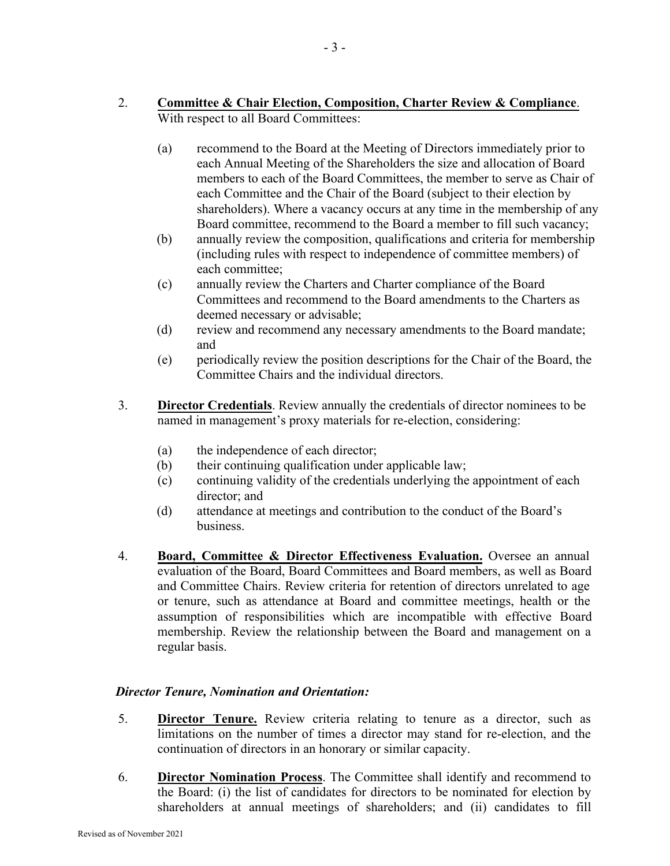- 2. **Committee & Chair Election, Composition, Charter Review & Compliance**. With respect to all Board Committees:
	- (a) recommend to the Board at the Meeting of Directors immediately prior to each Annual Meeting of the Shareholders the size and allocation of Board members to each of the Board Committees, the member to serve as Chair of each Committee and the Chair of the Board (subject to their election by shareholders). Where a vacancy occurs at any time in the membership of any Board committee, recommend to the Board a member to fill such vacancy;
	- (b) annually review the composition, qualifications and criteria for membership (including rules with respect to independence of committee members) of each committee;
	- (c) annually review the Charters and Charter compliance of the Board Committees and recommend to the Board amendments to the Charters as deemed necessary or advisable;
	- (d) review and recommend any necessary amendments to the Board mandate; and
	- (e) periodically review the position descriptions for the Chair of the Board, the Committee Chairs and the individual directors.
- 3. **Director Credentials**. Review annually the credentials of director nominees to be named in management's proxy materials for re-election, considering:
	- (a) the independence of each director;
	- (b) their continuing qualification under applicable law;
	- (c) continuing validity of the credentials underlying the appointment of each director; and
	- (d) attendance at meetings and contribution to the conduct of the Board's business.
- 4. **Board, Committee & Director Effectiveness Evaluation.** Oversee an annual evaluation of the Board, Board Committees and Board members, as well as Board and Committee Chairs. Review criteria for retention of directors unrelated to age or tenure, such as attendance at Board and committee meetings, health or the assumption of responsibilities which are incompatible with effective Board membership. Review the relationship between the Board and management on a regular basis.

# *Director Tenure, Nomination and Orientation:*

- 5. **Director Tenure.** Review criteria relating to tenure as a director, such as limitations on the number of times a director may stand for re-election, and the continuation of directors in an honorary or similar capacity.
- 6. **Director Nomination Process**. The Committee shall identify and recommend to the Board: (i) the list of candidates for directors to be nominated for election by shareholders at annual meetings of shareholders; and (ii) candidates to fill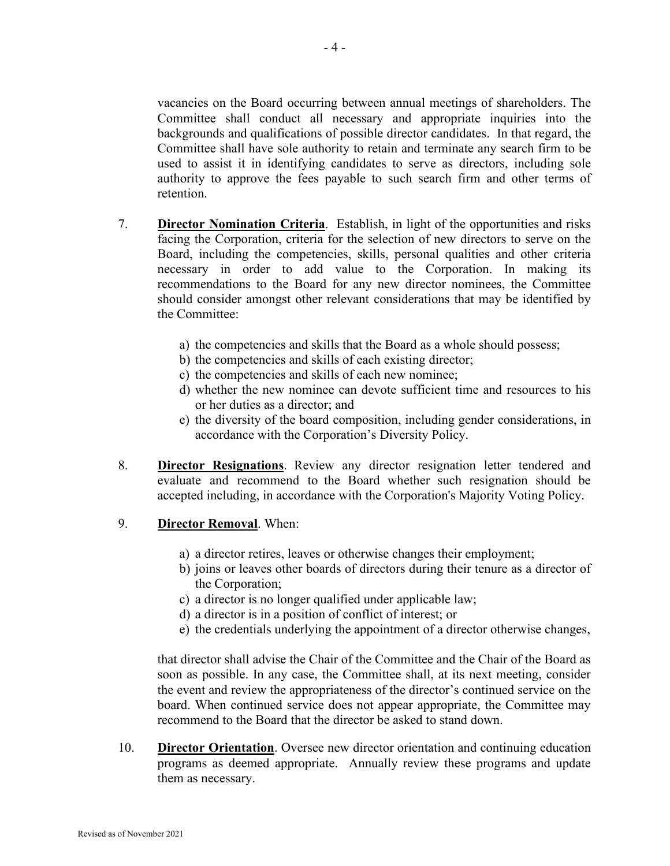vacancies on the Board occurring between annual meetings of shareholders. The Committee shall conduct all necessary and appropriate inquiries into the backgrounds and qualifications of possible director candidates. In that regard, the Committee shall have sole authority to retain and terminate any search firm to be used to assist it in identifying candidates to serve as directors, including sole authority to approve the fees payable to such search firm and other terms of retention.

- 7. **Director Nomination Criteria**. Establish, in light of the opportunities and risks facing the Corporation, criteria for the selection of new directors to serve on the Board, including the competencies, skills, personal qualities and other criteria necessary in order to add value to the Corporation. In making its recommendations to the Board for any new director nominees, the Committee should consider amongst other relevant considerations that may be identified by the Committee:
	- a) the competencies and skills that the Board as a whole should possess;
	- b) the competencies and skills of each existing director;
	- c) the competencies and skills of each new nominee;
	- d) whether the new nominee can devote sufficient time and resources to his or her duties as a director; and
	- e) the diversity of the board composition, including gender considerations, in accordance with the Corporation's Diversity Policy.
- 8. **Director Resignations**. Review any director resignation letter tendered and evaluate and recommend to the Board whether such resignation should be accepted including, in accordance with the Corporation's Majority Voting Policy.
- 9. **Director Removal**. When:
	- a) a director retires, leaves or otherwise changes their employment;
	- b) joins or leaves other boards of directors during their tenure as a director of the Corporation;
	- c) a director is no longer qualified under applicable law;
	- d) a director is in a position of conflict of interest; or
	- e) the credentials underlying the appointment of a director otherwise changes,

that director shall advise the Chair of the Committee and the Chair of the Board as soon as possible. In any case, the Committee shall, at its next meeting, consider the event and review the appropriateness of the director's continued service on the board. When continued service does not appear appropriate, the Committee may recommend to the Board that the director be asked to stand down.

10. **Director Orientation**. Oversee new director orientation and continuing education programs as deemed appropriate. Annually review these programs and update them as necessary.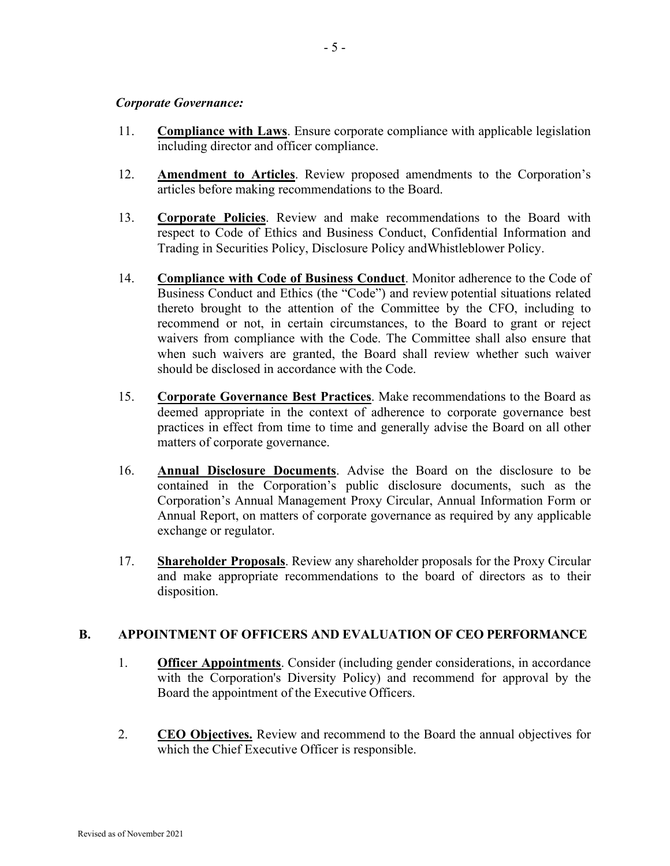#### *Corporate Governance:*

- 11. **Compliance with Laws**. Ensure corporate compliance with applicable legislation including director and officer compliance.
- 12. **Amendment to Articles**. Review proposed amendments to the Corporation's articles before making recommendations to the Board.
- 13. **Corporate Policies**. Review and make recommendations to the Board with respect to Code of Ethics and Business Conduct, Confidential Information and Trading in Securities Policy, Disclosure Policy andWhistleblower Policy.
- 14. **Compliance with Code of Business Conduct**. Monitor adherence to the Code of Business Conduct and Ethics (the "Code") and review potential situations related thereto brought to the attention of the Committee by the CFO, including to recommend or not, in certain circumstances, to the Board to grant or reject waivers from compliance with the Code. The Committee shall also ensure that when such waivers are granted, the Board shall review whether such waiver should be disclosed in accordance with the Code.
- 15. **Corporate Governance Best Practices**. Make recommendations to the Board as deemed appropriate in the context of adherence to corporate governance best practices in effect from time to time and generally advise the Board on all other matters of corporate governance.
- 16. **Annual Disclosure Documents**. Advise the Board on the disclosure to be contained in the Corporation's public disclosure documents, such as the Corporation's Annual Management Proxy Circular, Annual Information Form or Annual Report, on matters of corporate governance as required by any applicable exchange or regulator.
- 17. **Shareholder Proposals**. Review any shareholder proposals for the Proxy Circular and make appropriate recommendations to the board of directors as to their disposition.

# **B. APPOINTMENT OF OFFICERS AND EVALUATION OF CEO PERFORMANCE**

- 1. **Officer Appointments**. Consider (including gender considerations, in accordance with the Corporation's Diversity Policy) and recommend for approval by the Board the appointment of the Executive Officers.
- 2. **CEO Objectives.** Review and recommend to the Board the annual objectives for which the Chief Executive Officer is responsible.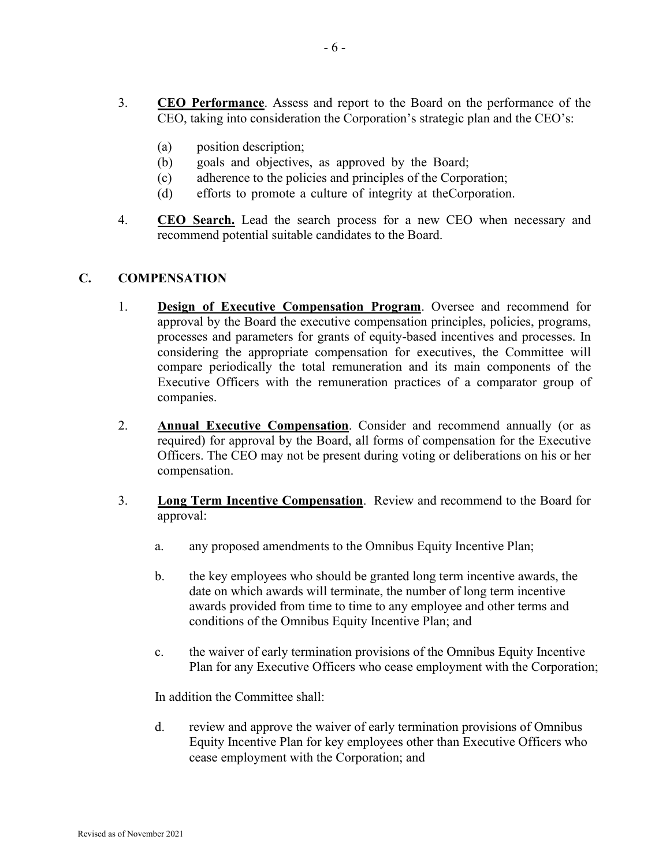- 3. **CEO Performance**. Assess and report to the Board on the performance of the CEO, taking into consideration the Corporation's strategic plan and the CEO's:
	- (a) position description;
	- (b) goals and objectives, as approved by the Board;
	- (c) adherence to the policies and principles of the Corporation;
	- (d) efforts to promote a culture of integrity at the Corporation.
- 4. **CEO Search.** Lead the search process for a new CEO when necessary and recommend potential suitable candidates to the Board.

# **C. COMPENSATION**

- 1. **Design of Executive Compensation Program**. Oversee and recommend for approval by the Board the executive compensation principles, policies, programs, processes and parameters for grants of equity-based incentives and processes. In considering the appropriate compensation for executives, the Committee will compare periodically the total remuneration and its main components of the Executive Officers with the remuneration practices of a comparator group of companies.
- 2. **Annual Executive Compensation**. Consider and recommend annually (or as required) for approval by the Board, all forms of compensation for the Executive Officers. The CEO may not be present during voting or deliberations on his or her compensation.
- 3. **Long Term Incentive Compensation**. Review and recommend to the Board for approval:
	- a. any proposed amendments to the Omnibus Equity Incentive Plan;
	- b. the key employees who should be granted long term incentive awards, the date on which awards will terminate, the number of long term incentive awards provided from time to time to any employee and other terms and conditions of the Omnibus Equity Incentive Plan; and
	- c. the waiver of early termination provisions of the Omnibus Equity Incentive Plan for any Executive Officers who cease employment with the Corporation;

In addition the Committee shall:

d. review and approve the waiver of early termination provisions of Omnibus Equity Incentive Plan for key employees other than Executive Officers who cease employment with the Corporation; and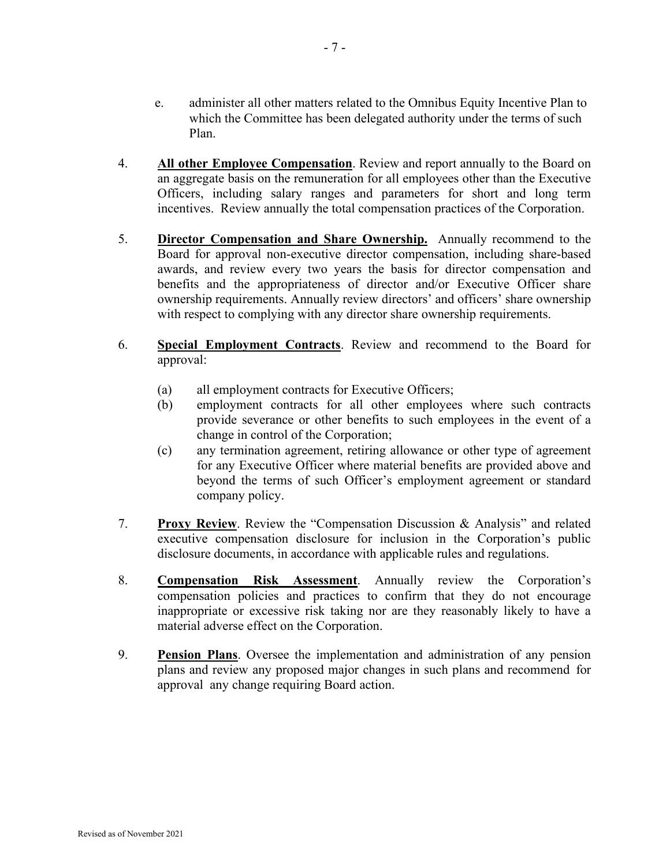- e. administer all other matters related to the Omnibus Equity Incentive Plan to which the Committee has been delegated authority under the terms of such Plan.
- 4. **All other Employee Compensation**. Review and report annually to the Board on an aggregate basis on the remuneration for all employees other than the Executive Officers, including salary ranges and parameters for short and long term incentives. Review annually the total compensation practices of the Corporation.
- 5. **Director Compensation and Share Ownership.** Annually recommend to the Board for approval non-executive director compensation, including share-based awards, and review every two years the basis for director compensation and benefits and the appropriateness of director and/or Executive Officer share ownership requirements. Annually review directors' and officers' share ownership with respect to complying with any director share ownership requirements.
- 6. **Special Employment Contracts**. Review and recommend to the Board for approval:
	- (a) all employment contracts for Executive Officers;
	- (b) employment contracts for all other employees where such contracts provide severance or other benefits to such employees in the event of a change in control of the Corporation;
	- (c) any termination agreement, retiring allowance or other type of agreement for any Executive Officer where material benefits are provided above and beyond the terms of such Officer's employment agreement or standard company policy.
- 7. **Proxy Review**. Review the "Compensation Discussion & Analysis" and related executive compensation disclosure for inclusion in the Corporation's public disclosure documents, in accordance with applicable rules and regulations.
- 8. **Compensation Risk Assessment**. Annually review the Corporation's compensation policies and practices to confirm that they do not encourage inappropriate or excessive risk taking nor are they reasonably likely to have a material adverse effect on the Corporation.
- 9. **Pension Plans**. Oversee the implementation and administration of any pension plans and review any proposed major changes in such plans and recommend for approval any change requiring Board action.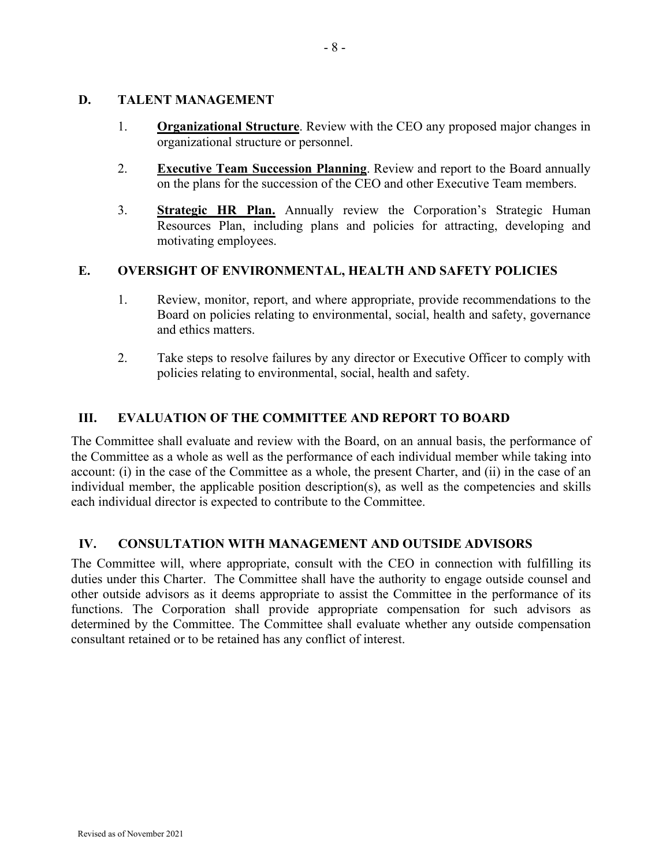# **D. TALENT MANAGEMENT**

- 1. **Organizational Structure**. Review with the CEO any proposed major changes in organizational structure or personnel.
- 2. **Executive Team Succession Planning**. Review and report to the Board annually on the plans for the succession of the CEO and other Executive Team members.
- 3. **Strategic HR Plan.** Annually review the Corporation's Strategic Human Resources Plan, including plans and policies for attracting, developing and motivating employees.

# **E. OVERSIGHT OF ENVIRONMENTAL, HEALTH AND SAFETY POLICIES**

- 1. Review, monitor, report, and where appropriate, provide recommendations to the Board on policies relating to environmental, social, health and safety, governance and ethics matters.
- 2. Take steps to resolve failures by any director or Executive Officer to comply with policies relating to environmental, social, health and safety.

# **III. EVALUATION OF THE COMMITTEE AND REPORT TO BOARD**

The Committee shall evaluate and review with the Board, on an annual basis, the performance of the Committee as a whole as well as the performance of each individual member while taking into account: (i) in the case of the Committee as a whole, the present Charter, and (ii) in the case of an individual member, the applicable position description(s), as well as the competencies and skills each individual director is expected to contribute to the Committee.

# **IV. CONSULTATION WITH MANAGEMENT AND OUTSIDE ADVISORS**

The Committee will, where appropriate, consult with the CEO in connection with fulfilling its duties under this Charter. The Committee shall have the authority to engage outside counsel and other outside advisors as it deems appropriate to assist the Committee in the performance of its functions. The Corporation shall provide appropriate compensation for such advisors as determined by the Committee. The Committee shall evaluate whether any outside compensation consultant retained or to be retained has any conflict of interest.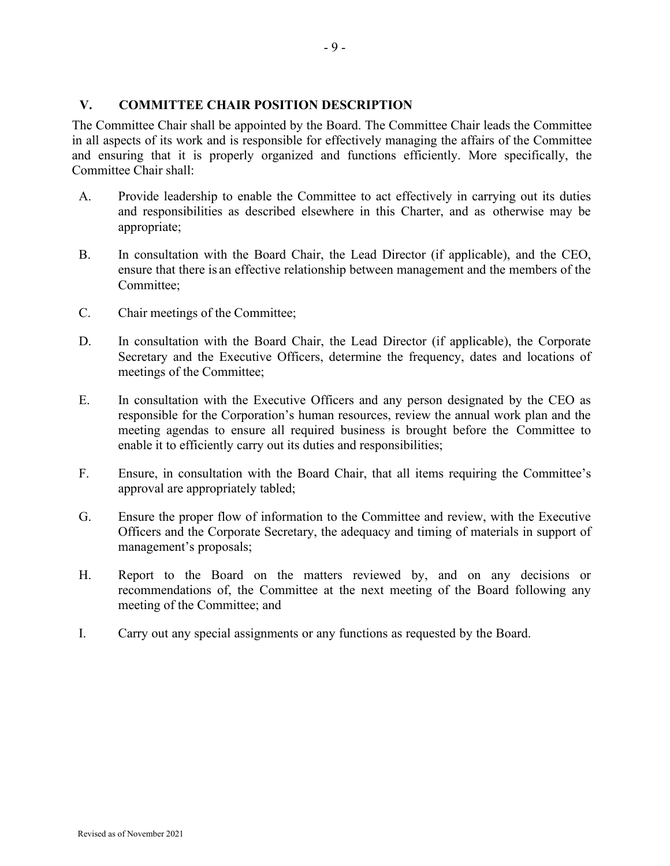# **V. COMMITTEE CHAIR POSITION DESCRIPTION**

The Committee Chair shall be appointed by the Board. The Committee Chair leads the Committee in all aspects of its work and is responsible for effectively managing the affairs of the Committee and ensuring that it is properly organized and functions efficiently. More specifically, the Committee Chair shall:

- A. Provide leadership to enable the Committee to act effectively in carrying out its duties and responsibilities as described elsewhere in this Charter, and as otherwise may be appropriate;
- B. In consultation with the Board Chair, the Lead Director (if applicable), and the CEO, ensure that there is an effective relationship between management and the members of the Committee;
- C. Chair meetings of the Committee;
- D. In consultation with the Board Chair, the Lead Director (if applicable), the Corporate Secretary and the Executive Officers, determine the frequency, dates and locations of meetings of the Committee;
- E. In consultation with the Executive Officers and any person designated by the CEO as responsible for the Corporation's human resources, review the annual work plan and the meeting agendas to ensure all required business is brought before the Committee to enable it to efficiently carry out its duties and responsibilities;
- F. Ensure, in consultation with the Board Chair, that all items requiring the Committee's approval are appropriately tabled;
- G. Ensure the proper flow of information to the Committee and review, with the Executive Officers and the Corporate Secretary, the adequacy and timing of materials in support of management's proposals;
- H. Report to the Board on the matters reviewed by, and on any decisions or recommendations of, the Committee at the next meeting of the Board following any meeting of the Committee; and
- I. Carry out any special assignments or any functions as requested by the Board.